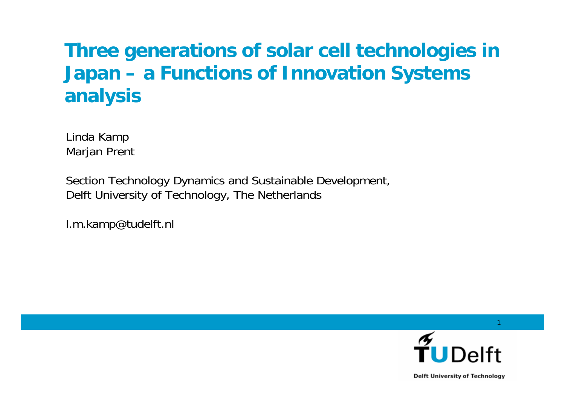#### **Three generations of solar cell technologies in Japan – a Functions of Innovation Systems analysis**

Linda Kamp Marjan Prent

Section Technology Dynamics and Sustainable Development, Delft University of Technology, The Netherlands

l.m.kamp@tudelft.nl



1

**Delft University of Technology**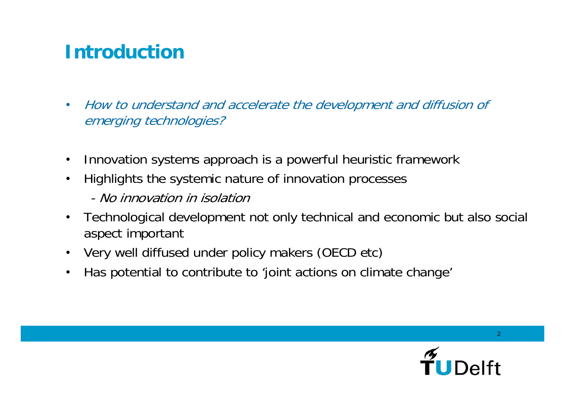#### **Introduction**

- How to understand and accelerate the development and diffusion of emerging technologies?
- Innovation systems approach is a powerful heuristic framework
- Highlights the systemic nature of innovation processes
	- No innovation in isolation
- Technological development not only technical and economic but also social aspect important
- Very well diffused under policy makers (OECD etc)
- Has potential to contribute to 'joint actions on climate change'

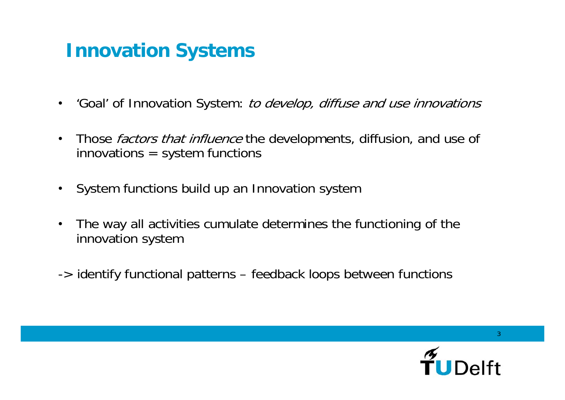#### **Innovation Systems**

- 'Goal' of Innovation System: *to develop, diffuse and use innovations*
- Those *factors that influence* the developments, diffusion, and use of  $innovations = system functions$
- System functions build up an Innovation system
- The way all activities cumulate determines the functioning of the innovation system
- -> identify functional patterns feedback loops between functions

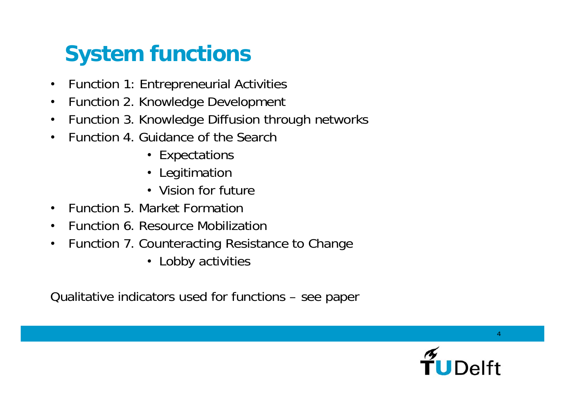# **System functions**

- Function 1: Entrepreneurial Activities
- Function 2. Knowledge Development
- Function 3. Knowledge Diffusion through networks
- Function 4. Guidance of the Search
	- Expectations
	- Legitimation
	- Vision for future
- Function 5. Market Formation
- Function 6. Resource Mobilization
- Function 7. Counteracting Resistance to Change
	- Lobby activities

Qualitative indicators used for functions – see paper

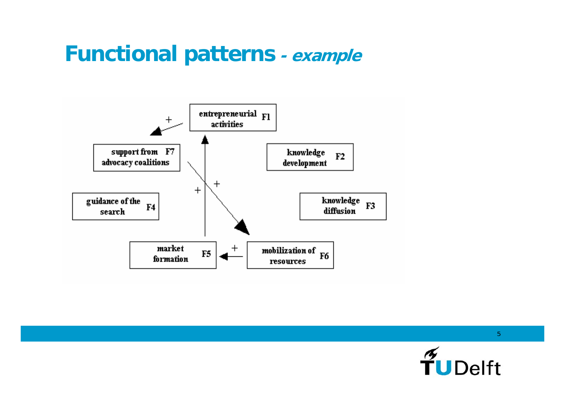### **Functional patterns - example**



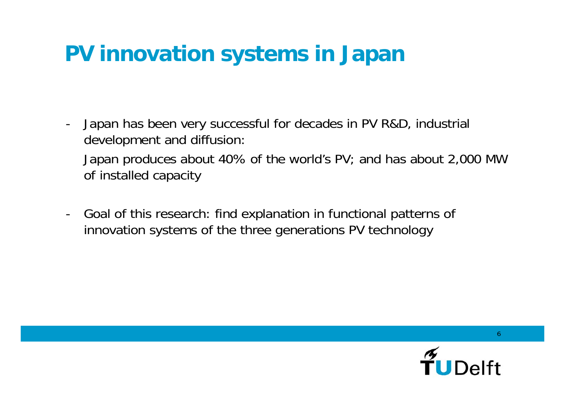## **PV innovation systems in Japan**

- Japan has been very successful for decades in PV R&D, industrial development and diffusion:

Japan produces about 40% of the world's PV; and has about 2,000 MW of installed capacity

- Goal of this research: find explanation in functional patterns of innovation systems of the three generations PV technology

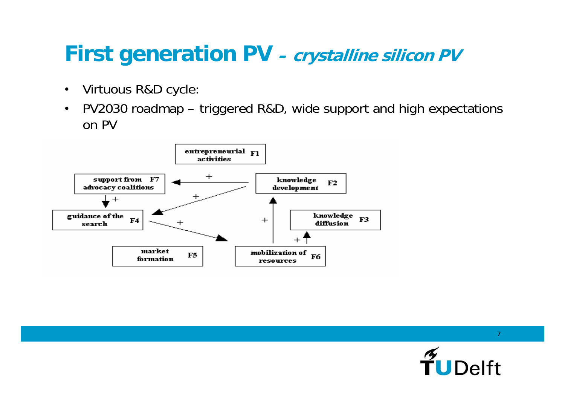## **First generation PV** – *crystalline silicon PV*

- Virtuous R&D cycle:
- PV2030 roadmap triggered R&D, wide support and high expectations on PV



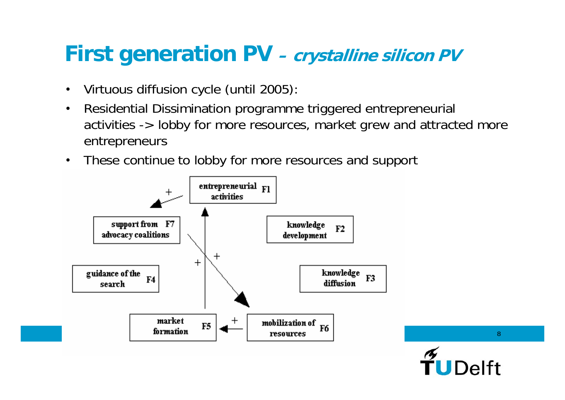### **First generation PV** – *crystalline silicon PV*

- Virtuous diffusion cycle (until 2005):
- Residential Dissimination programme triggered entrepreneurial activities -> lobby for more resources, market grew and attracted more entrepreneurs
- These continue to lobby for more resources and support

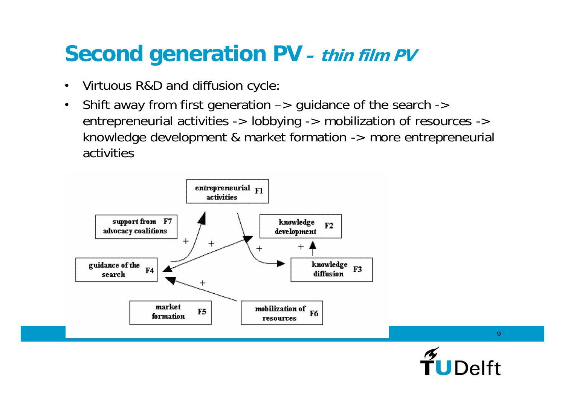## **Second generation PV – thin film PV**

- Virtuous R&D and diffusion cycle:
- Shift away from first generation  $\rightarrow$  guidance of the search  $\rightarrow$ entrepreneurial activities -> lobbying -> mobilization of resources -> knowledge development & market formation -> more entrepreneurial activities



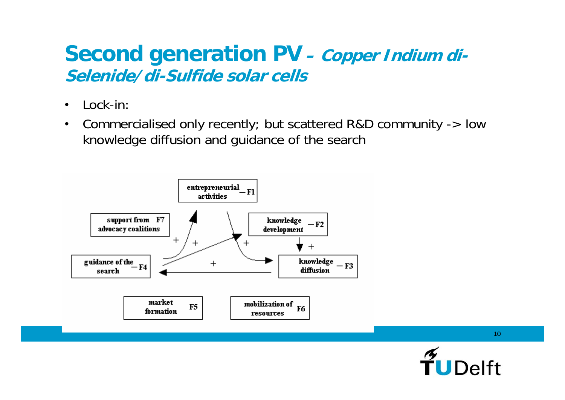#### **Second generation PV** – *Copper Indium di-***Selenide/di-Sulfide solar cells**

- Lock-in:
- Commercialised only recently; but scattered R&D community -> low knowledge diffusion and guidance of the search



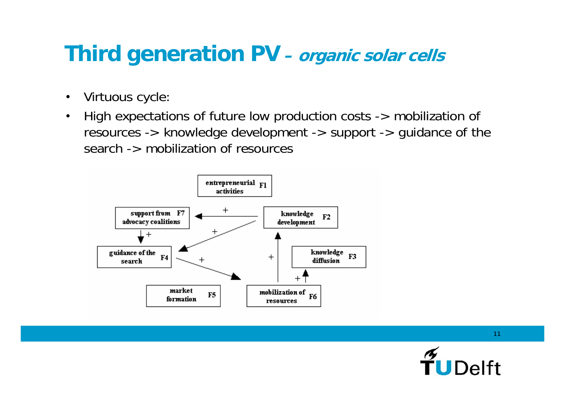## **Third generation PV – organic solar cells**

- Virtuous cycle:
- High expectations of future low production costs -> mobilization of resources -> knowledge development -> support -> guidance of the search -> mobilization of resources



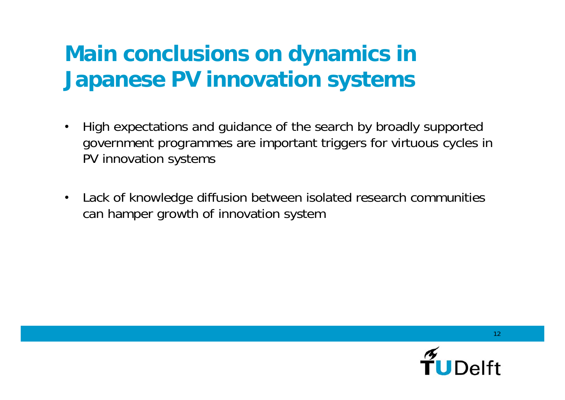## **Main conclusions on dynamics in Japanese PV innovation systems**

- High expectations and guidance of the search by broadly supported government programmes are important triggers for virtuous cycles in PV innovation systems
- Lack of knowledge diffusion between isolated research communities can hamper growth of innovation system

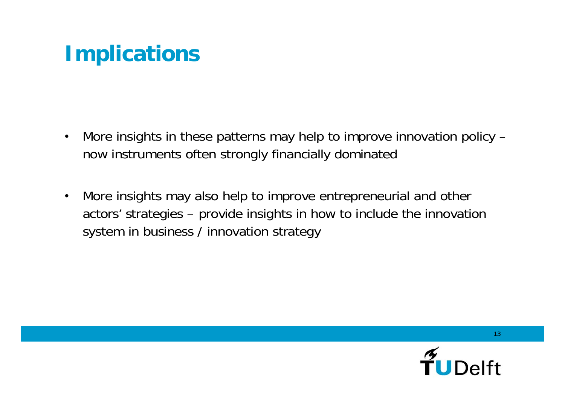## **Implications**

- More insights in these patterns may help to improve innovation policy now instruments often strongly financially dominated
- More insights may also help to improve entrepreneurial and other actors' strategies – provide insights in how to include the innovation system in business / innovation strategy